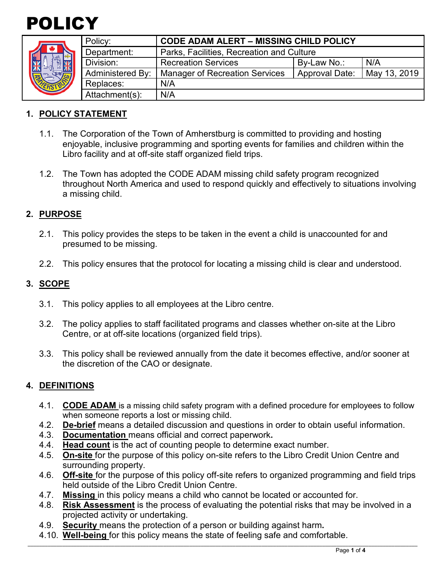



| Policy:                 | <b>CODE ADAM ALERT - MISSING CHILD POLICY</b> |                |              |
|-------------------------|-----------------------------------------------|----------------|--------------|
| Department:             | Parks, Facilities, Recreation and Culture     |                |              |
| Division:               | <b>Recreation Services</b>                    | By-Law No.:    | N/A          |
| <b>Administered By:</b> | <b>Manager of Recreation Services</b>         | Approval Date: | May 13, 2019 |
| Replaces:               | N/A                                           |                |              |
| Attachment(s):          | N/A                                           |                |              |
|                         |                                               |                |              |

## **1. POLICY STATEMENT**

- 1.1. The Corporation of the Town of Amherstburg is committed to providing and hosting enjoyable, inclusive programming and sporting events for families and children within the Libro facility and at off-site staff organized field trips.
- 1.2. The Town has adopted the CODE ADAM missing child safety program recognized throughout North America and used to respond quickly and effectively to situations involving a missing child.

## **2. PURPOSE**

- 2.1. This policy provides the steps to be taken in the event a child is unaccounted for and presumed to be missing.
- 2.2. This policy ensures that the protocol for locating a missing child is clear and understood.

## **3. SCOPE**

- 3.1. This policy applies to all employees at the Libro centre.
- 3.2. The policy applies to staff facilitated programs and classes whether on-site at the Libro Centre, or at off-site locations (organized field trips).
- 3.3. This policy shall be reviewed annually from the date it becomes effective, and/or sooner at the discretion of the CAO or designate.

### **4. DEFINITIONS**

- 4.1. **CODE ADAM** is a missing child safety program with a defined procedure for employees to follow when someone reports a lost or missing child.
- 4.2. **De-brief** means a detailed discussion and questions in order to obtain useful information.
- 4.3. **Documentation** means official and correct paperwork**.**
- 4.4. **Head count** is the act of counting people to determine exact number.
- 4.5. **On-site** for the purpose of this policy on-site refers to the Libro Credit Union Centre and surrounding property.
- 4.6. **Off-site** for the purpose of this policy off-site refers to organized programming and field trips held outside of the Libro Credit Union Centre.
- 4.7. **Missing** in this policy means a child who cannot be located or accounted for.
- 4.8. **Risk Assessment** is the process of evaluating the potential risks that may be involved in a projected activity or undertaking.

\_\_\_\_\_\_\_\_\_\_\_\_\_\_\_\_\_\_\_\_\_\_\_\_\_\_\_\_\_\_\_\_\_\_\_\_\_\_\_\_\_\_\_\_\_\_\_\_\_\_\_\_\_\_\_\_\_\_\_\_\_\_\_\_\_\_\_\_\_\_\_\_\_\_\_\_\_\_\_\_\_\_\_\_\_\_\_\_\_\_\_\_\_\_\_\_\_\_\_\_\_\_\_\_\_\_\_\_\_\_\_\_\_\_\_\_\_\_\_\_\_\_\_\_\_\_\_\_\_\_\_\_\_\_\_

- 4.9. **Security** means the protection of a person or building against harm**.**
- 4.10. **Well-being** for this policy means the state of feeling safe and comfortable.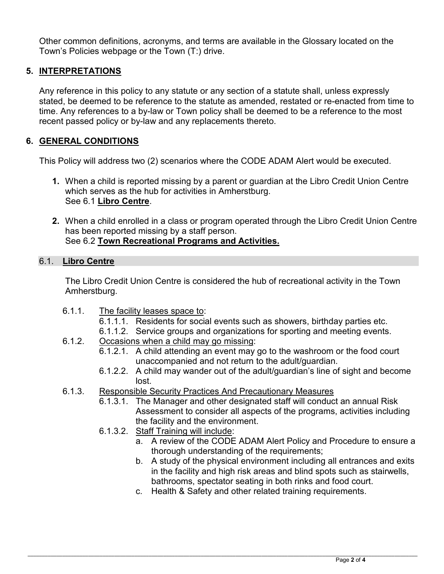Other common definitions, acronyms, and terms are available in the Glossary located on the Town's Policies webpage or the Town (T:) drive.

# **5. INTERPRETATIONS**

Any reference in this policy to any statute or any section of a statute shall, unless expressly stated, be deemed to be reference to the statute as amended, restated or re-enacted from time to time. Any references to a by-law or Town policy shall be deemed to be a reference to the most recent passed policy or by-law and any replacements thereto.

## **6. GENERAL CONDITIONS**

This Policy will address two (2) scenarios where the CODE ADAM Alert would be executed.

- **1.** When a child is reported missing by a parent or guardian at the Libro Credit Union Centre which serves as the hub for activities in Amherstburg. See 6.1 **Libro Centre**.
- **2.** When a child enrolled in a class or program operated through the Libro Credit Union Centre has been reported missing by a staff person. See 6.2 **Town Recreational Programs and Activities.**

#### 6.1. **Libro Centre**

The Libro Credit Union Centre is considered the hub of recreational activity in the Town Amherstburg.

- 6.1.1. The facility leases space to:
	- 6.1.1.1. Residents for social events such as showers, birthday parties etc.
	- 6.1.1.2. Service groups and organizations for sporting and meeting events.
- 6.1.2. Occasions when a child may go missing:
	- 6.1.2.1. A child attending an event may go to the washroom or the food court unaccompanied and not return to the adult/guardian.
	- 6.1.2.2. A child may wander out of the adult/guardian's line of sight and become lost.
- 6.1.3. Responsible Security Practices And Precautionary Measures
	- 6.1.3.1. The Manager and other designated staff will conduct an annual Risk Assessment to consider all aspects of the programs, activities including the facility and the environment.
	- 6.1.3.2. Staff Training will include:
		- a. A review of the CODE ADAM Alert Policy and Procedure to ensure a thorough understanding of the requirements;
		- b. A study of the physical environment including all entrances and exits in the facility and high risk areas and blind spots such as stairwells, bathrooms, spectator seating in both rinks and food court.
		- c. Health & Safety and other related training requirements.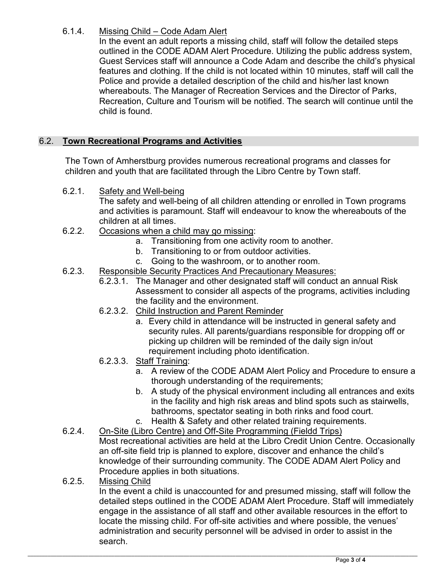# 6.1.4. Missing Child – Code Adam Alert

In the event an adult reports a missing child, staff will follow the detailed steps outlined in the CODE ADAM Alert Procedure. Utilizing the public address system, Guest Services staff will announce a Code Adam and describe the child's physical features and clothing. If the child is not located within 10 minutes, staff will call the Police and provide a detailed description of the child and his/her last known whereabouts. The Manager of Recreation Services and the Director of Parks, Recreation, Culture and Tourism will be notified. The search will continue until the child is found.

# 6.2. **Town Recreational Programs and Activities**

The Town of Amherstburg provides numerous recreational programs and classes for children and youth that are facilitated through the Libro Centre by Town staff.

6.2.1. Safety and Well-being

The safety and well-being of all children attending or enrolled in Town programs and activities is paramount. Staff will endeavour to know the whereabouts of the children at all times.

- 6.2.2. Occasions when a child may go missing:
	- a. Transitioning from one activity room to another.
	- b. Transitioning to or from outdoor activities.
	- c. Going to the washroom, or to another room.
- 6.2.3. Responsible Security Practices And Precautionary Measures:
	- 6.2.3.1. The Manager and other designated staff will conduct an annual Risk Assessment to consider all aspects of the programs, activities including the facility and the environment.
	- 6.2.3.2. Child Instruction and Parent Reminder
		- a. Every child in attendance will be instructed in general safety and security rules. All parents/guardians responsible for dropping off or picking up children will be reminded of the daily sign in/out requirement including photo identification.
	- 6.2.3.3. Staff Training:
		- a. A review of the CODE ADAM Alert Policy and Procedure to ensure a thorough understanding of the requirements;
		- b. A study of the physical environment including all entrances and exits in the facility and high risk areas and blind spots such as stairwells, bathrooms, spectator seating in both rinks and food court.
		- c. Health & Safety and other related training requirements.
- 6.2.4. On-Site (Libro Centre) and Off-Site Programming (Fieldd Trips) Most recreational activities are held at the Libro Credit Union Centre. Occasionally an off-site field trip is planned to explore, discover and enhance the child's knowledge of their surrounding community. The CODE ADAM Alert Policy and Procedure applies in both situations.
- 6.2.5. Missing Child

In the event a child is unaccounted for and presumed missing, staff will follow the detailed steps outlined in the CODE ADAM Alert Procedure. Staff will immediately engage in the assistance of all staff and other available resources in the effort to locate the missing child. For off-site activities and where possible, the venues' administration and security personnel will be advised in order to assist in the search.